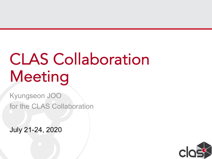# CLAS Collaboration Meeting

Kyungseon JOO for the CLAS Collaboration

July 21-24, 2020

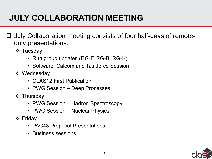## **JULY COLLABORATION MEETING**

- $\Box$  July Collaboration meeting consists of four half-days of remoteonly presentations.
	- **❖ Tuesday** 
		- Run group updates (RG-F, RG-B, RG-K)
		- Software, Calcom and Taskforce Session
	- ❖ Wednesday
		- CLAS12 First Publication
		- PWG Session Deep Processes
	- $\div$  Thursday
		- PWG Session Hadron Spectroscopy
		- PWG Session Nuclear Physics
	- **❖ Friday** 
		- PAC48 Proposal Presentations
		- Business sessions

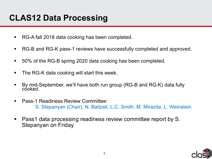## **CLAS12 Data Processing**

- § RG-A fall 2018 data cooking has been completed.
- RG-B and RG-K pass-1 reviews have successfully completed and approved.
- 50% of the RG-B spring 2020 data cooking has been completed.
- The RG-K data cooking will start this week.
- § By mid-September, we'll have both run group (RG-B and RG-K) data fully cooked.
- Pass-1 Readiness Review Committee: S. Stepanyan (Chair), N. Baltzell, L.C. Smith, M. Mirazita, L. Weinstein.
- Pass1 data processing readiness review committee report by S. Stepanyan on Friday

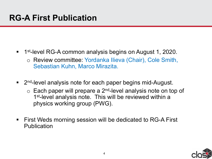- 1<sup>st</sup>-level RG-A common analysis begins on August 1, 2020.
	- o Review committee: Yordanka Ilieva (Chair), Cole Smith, Sebastian Kuhn, Marco Mirazita.
- 2<sup>nd</sup>-level analysis note for each paper begins mid-August.
	- $\circ$  Each paper will prepare a 2<sup>nd</sup>-level analysis note on top of 1<sup>st</sup>-level analysis note. This will be reviewed within a physics working group (PWG).
- First Weds morning session will be dedicated to RG-A First Publication

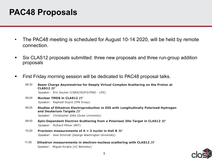#### **PAC48 Proposals**

- The PAC48 meeting is scheduled for August 10-14 2020, will be held by remote connection.
- Six CLAS12 proposals submitted: three new proposals and three run-group addition proposals
- First Friday morning session will be dedicated to PAC48 proposal talks.
	- 08:30 Beam Charge Asymmetries for Deeply Virtual Compton Scattering on the Proton at **CLAS12 30'** Speaker: Eric Voutier (CNRS/IN2P3/IPNO - UPS)
	- 09:00 **Nuclear TMDS in CLAS12 25'** Speaker: Raphaël Dupré (IPN Orsay)
	- 09:25 Studies of Dihadron Electroproduction in DIS with Longitudinally Polarized Hydrogen and Deuterium Targets 25' Speaker: Christopher Dilks (Duke University)
	- 09:50 Spin-Dependent Electron Scattering from a Polarized 3He Target in CLAS12 30' Speaker: Richard Milner (MIT)
	- 10:20 Precision measurements of  $A = 3$  nuclei in Hall B 30' Speaker: Axel Schmidt (George Washington University)
	- $11:00$ Dihadron measurements in electron-nucleus scattering with CLAS12 25' Speaker: Miquel Arratia (UC Berkeley)

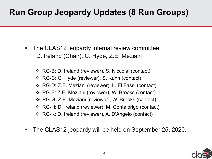## **Run Group Jeopardy Updates (8 Run Groups)**

- The CLAS12 jeopardy internal review committee: D. Ireland (Chair), C. Hyde, Z.E. Meziani
	- v RG-B: D. Ireland (reviewer), S. Niccolai (contact)
	- v RG-C: C. Hyde (reviewer), S. Kuhn (contact)
	- v RG-D: Z.E. Meziani (reviewer), L. El Fassi (contact)
	- v RG-E: Z.E. Meziani (reviewer), W. Brooks (contact)
	- v RG-G: Z.E. Meziani (reviewer), W. Brooks (contact)
	- v RG-H: D. Ireland (reviewer), M. Contalbrigo (contact)
	- v RG-K: D. Ireland (reviewer), A. D'Angelo (contact)
- **CLAS12** § The CLAS12 jeopardy will be held on September 25, 2020.

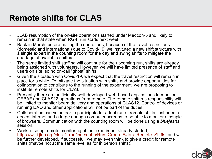#### **Remote shifts for CLAS**

- JLAB resumption of the on-site operations started under Medcon-5 and likely to remain in that state when RG-F run starts next week.
- Back in March, before halting the operations, because of the travel restrictions (domestic and international) due to Covid-19, we instituted a new shift structure with a single expert in the counting room for the day and swing shifts to mitigate the shortage of available shifters.
- [The same limited shift staffing will continue for the upcoming run, shifts are a](https://wiki.jlab.org/clas12-run/index.php/Run_Group_F)lready being assigned with volunteers. However, we will have limited presence of staff and users on site, so no on-call "ghost" shifts.
- Given the situation with Covid-19, we expect that the travel restriction will remain in place for a while. To mitigate the situation with shifts and provide opportunities for collaboration to contribute to the running of the experiment, we are proposing to institute remote shifts for CLAS.
- Presently there are sufficiently well-developed web-based applications to monitor CEBAF and CLAS12 operations from remote. The remote shifter's responsibility will be limited to monitor beam delivery and operations of CLAS12. Control of devices or running DAQ and other applications will not be part of the duties.
- Collaboration can volunteer to participate for a trial run of remote shifts, just need a decent internet and a large enough computer screens to be able to monitor a couple of browsers. Communication with the counting room will be done using a *bluejeans* session.
- **CLAS12** Work to setup remote monitoring of the experiment already started, https://wiki.jlab.org/clas12-run/index.php/Run\_Group\_F#tab=Remote\_Shifts, and wi be further developed. If successful, we may even think to give a credit for remote shifts (maybe not at the same level as for in person shifts).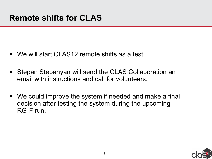- We will start CLAS12 remote shifts as a test.
- Stepan Stepanyan will send the CLAS Collaboration an email with instructions and call for volunteers.
- We could improve the system if needed and make a final decision after testing the system during the upcoming RG-F run.